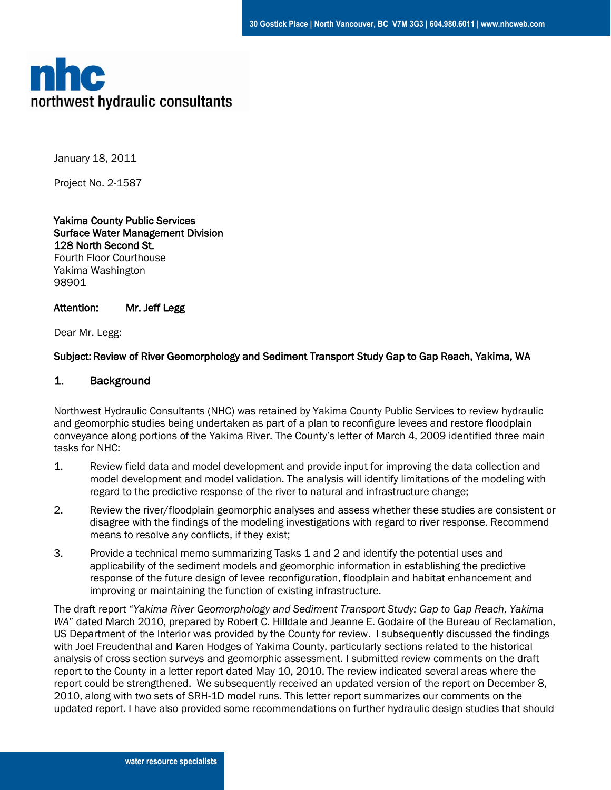

January 18, 2011

Project No. 2-1587

Yakima County Public Services Surface Water Management Division 128 North Second St. Fourth Floor Courthouse Yakima Washington 98901

#### Attention: Mr. Jeff Legg

Dear Mr. Legg:

## Subject: Review of River Geomorphology and Sediment Transport Study Gap to Gap Reach, Yakima, WA

## 1. Background

Northwest Hydraulic Consultants (NHC) was retained by Yakima County Public Services to review hydraulic and geomorphic studies being undertaken as part of a plan to reconfigure levees and restore floodplain conveyance along portions of the Yakima River. The County's letter of March 4, 2009 identified three main tasks for NHC:

- 1. Review field data and model development and provide input for improving the data collection and model development and model validation. The analysis will identify limitations of the modeling with regard to the predictive response of the river to natural and infrastructure change;
- 2. Review the river/floodplain geomorphic analyses and assess whether these studies are consistent or disagree with the findings of the modeling investigations with regard to river response. Recommend means to resolve any conflicts, if they exist;
- 3. Provide a technical memo summarizing Tasks 1 and 2 and identify the potential uses and applicability of the sediment models and geomorphic information in establishing the predictive response of the future design of levee reconfiguration, floodplain and habitat enhancement and improving or maintaining the function of existing infrastructure.

The draft report "*Yakima River Geomorphology and Sediment Transport Study: Gap to Gap Reach, Yakima WA*" dated March 2010, prepared by Robert C. Hilldale and Jeanne E. Godaire of the Bureau of Reclamation, US Department of the Interior was provided by the County for review. I subsequently discussed the findings with Joel Freudenthal and Karen Hodges of Yakima County, particularly sections related to the historical analysis of cross section surveys and geomorphic assessment. I submitted review comments on the draft report to the County in a letter report dated May 10, 2010. The review indicated several areas where the report could be strengthened. We subsequently received an updated version of the report on December 8, 2010, along with two sets of SRH-1D model runs. This letter report summarizes our comments on the updated report. I have also provided some recommendations on further hydraulic design studies that should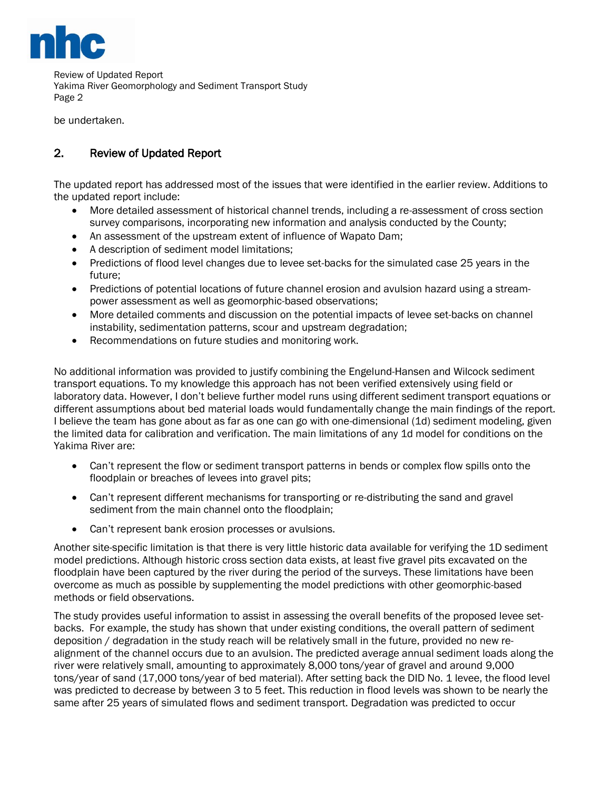

Review of Updated Report Yakima River Geomorphology and Sediment Transport Study Page 2

be undertaken.

## 2. Review of Updated Report

The updated report has addressed most of the issues that were identified in the earlier review. Additions to the updated report include:

- More detailed assessment of historical channel trends, including a re-assessment of cross section survey comparisons, incorporating new information and analysis conducted by the County;
- An assessment of the upstream extent of influence of Wapato Dam;
- A description of sediment model limitations;
- Predictions of flood level changes due to levee set-backs for the simulated case 25 years in the future;
- Predictions of potential locations of future channel erosion and avulsion hazard using a streampower assessment as well as geomorphic-based observations;
- More detailed comments and discussion on the potential impacts of levee set-backs on channel instability, sedimentation patterns, scour and upstream degradation;
- Recommendations on future studies and monitoring work.

No additional information was provided to justify combining the Engelund-Hansen and Wilcock sediment transport equations. To my knowledge this approach has not been verified extensively using field or laboratory data. However, I don't believe further model runs using different sediment transport equations or different assumptions about bed material loads would fundamentally change the main findings of the report. I believe the team has gone about as far as one can go with one-dimensional (1d) sediment modeling, given the limited data for calibration and verification. The main limitations of any 1d model for conditions on the Yakima River are:

- Can't represent the flow or sediment transport patterns in bends or complex flow spills onto the floodplain or breaches of levees into gravel pits;
- Can't represent different mechanisms for transporting or re-distributing the sand and gravel sediment from the main channel onto the floodplain;
- Can't represent bank erosion processes or avulsions.

Another site-specific limitation is that there is very little historic data available for verifying the 1D sediment model predictions. Although historic cross section data exists, at least five gravel pits excavated on the floodplain have been captured by the river during the period of the surveys. These limitations have been overcome as much as possible by supplementing the model predictions with other geomorphic-based methods or field observations.

The study provides useful information to assist in assessing the overall benefits of the proposed levee setbacks. For example, the study has shown that under existing conditions, the overall pattern of sediment deposition / degradation in the study reach will be relatively small in the future, provided no new realignment of the channel occurs due to an avulsion. The predicted average annual sediment loads along the river were relatively small, amounting to approximately 8,000 tons/year of gravel and around 9,000 tons/year of sand (17,000 tons/year of bed material). After setting back the DID No. 1 levee, the flood level was predicted to decrease by between 3 to 5 feet. This reduction in flood levels was shown to be nearly the same after 25 years of simulated flows and sediment transport. Degradation was predicted to occur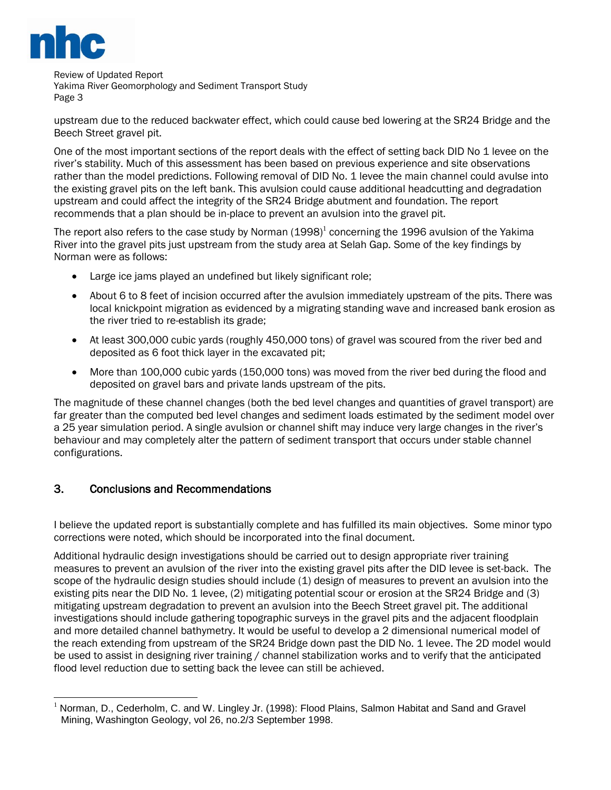

Review of Updated Report Yakima River Geomorphology and Sediment Transport Study Page 3

upstream due to the reduced backwater effect, which could cause bed lowering at the SR24 Bridge and the Beech Street gravel pit.

One of the most important sections of the report deals with the effect of setting back DID No 1 levee on the river's stability. Much of this assessment has been based on previous experience and site observations rather than the model predictions. Following removal of DID No. 1 levee the main channel could avulse into the existing gravel pits on the left bank. This avulsion could cause additional headcutting and degradation upstream and could affect the integrity of the SR24 Bridge abutment and foundation. The report recommends that a plan should be in-place to prevent an avulsion into the gravel pit.

The report also refers to the case study by Norman (1998)<sup>1</sup> concerning the 1996 avulsion of the Yakima River into the gravel pits just upstream from the study area at Selah Gap. Some of the key findings by Norman were as follows:

- Large ice jams played an undefined but likely significant role;
- About 6 to 8 feet of incision occurred after the avulsion immediately upstream of the pits. There was local knickpoint migration as evidenced by a migrating standing wave and increased bank erosion as the river tried to re-establish its grade;
- At least 300,000 cubic yards (roughly 450,000 tons) of gravel was scoured from the river bed and deposited as 6 foot thick layer in the excavated pit;
- More than 100,000 cubic yards (150,000 tons) was moved from the river bed during the flood and deposited on gravel bars and private lands upstream of the pits.

The magnitude of these channel changes (both the bed level changes and quantities of gravel transport) are far greater than the computed bed level changes and sediment loads estimated by the sediment model over a 25 year simulation period. A single avulsion or channel shift may induce very large changes in the river's behaviour and may completely alter the pattern of sediment transport that occurs under stable channel configurations.

## 3. Conclusions and Recommendations

I believe the updated report is substantially complete and has fulfilled its main objectives. Some minor typo corrections were noted, which should be incorporated into the final document.

Additional hydraulic design investigations should be carried out to design appropriate river training measures to prevent an avulsion of the river into the existing gravel pits after the DID levee is set-back. The scope of the hydraulic design studies should include (1) design of measures to prevent an avulsion into the existing pits near the DID No. 1 levee, (2) mitigating potential scour or erosion at the SR24 Bridge and (3) mitigating upstream degradation to prevent an avulsion into the Beech Street gravel pit. The additional investigations should include gathering topographic surveys in the gravel pits and the adjacent floodplain and more detailed channel bathymetry. It would be useful to develop a 2 dimensional numerical model of the reach extending from upstream of the SR24 Bridge down past the DID No. 1 levee. The 2D model would be used to assist in designing river training / channel stabilization works and to verify that the anticipated flood level reduction due to setting back the levee can still be achieved.

 $\overline{a}$ <sup>1</sup> Norman, D., Cederholm, C. and W. Lingley Jr. (1998): Flood Plains, Salmon Habitat and Sand and Gravel Mining, Washington Geology, vol 26, no.2/3 September 1998.